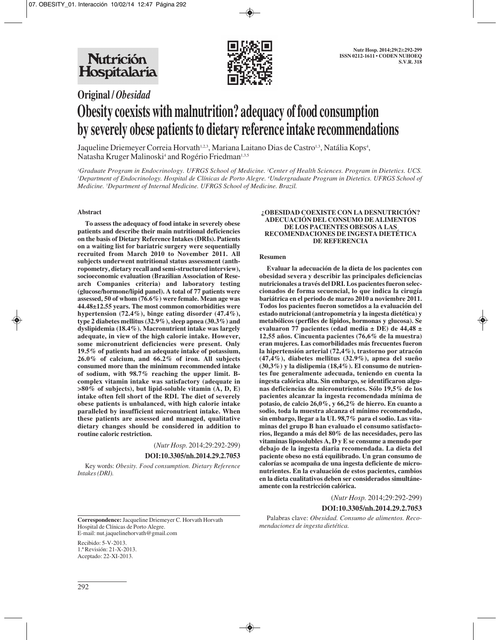

# **Original /** *Obesidad* **Obesity coexists with malnutrition? adequacy of food consumption by severely obese patients to dietary reference intake recommendations**

Jaqueline Driemeyer Correia Horvath<sup>1,2,3</sup>, Mariana Laitano Dias de Castro<sup>1,3</sup>, Natália Kops<sup>4</sup>, Natasha Kruger Malinoski<sup>4</sup> and Rogério Friedman<sup>1,3,5</sup>

*1 Graduate Program in Endocrinology. UFRGS School of Medicine. 2 Center of Health Sciences. Program in Dietetics. UCS. 3 Department of Endocrinology. Hospital de Clínicas de Porto Alegre. 4 Undergraduate Program in Dietetics. UFRGS School of Medicine. 5 Department of Internal Medicine. UFRGS School of Medicine. Brazil.*

## **Abstract**

**To assess the adequacy of food intake in severely obese patients and describe their main nutritional deficiencies on the basis of Dietary Reference Intakes (DRIs). Patients on a waiting list for bariatric surgery were sequentially recruited from March 2010 to November 2011. All subjects underwent nutritional status assessment (anthropometry, dietary recall and semi-structured interview), socioeconomic evaluation (Brazilian Association of Research Companies criteria) and laboratory testing (glucose/hormone/lipid panel). A total of 77 patients were assessed, 50 of whom (76.6%) were female. Mean age was 44.48±12.55 years. The most common comorbidities were hypertension (72.4%), binge eating disorder (47.4%), type 2 diabetes mellitus (32.9%), sleep apnea (30.3%) and dyslipidemia (18.4%). Macronutrient intake was largely adequate, in view of the high calorie intake. However, some micronutrient deficiencies were present. Only 19.5% of patients had an adequate intake of potassium, 26.0% of calcium, and 66.2% of iron. All subjects consumed more than the minimum recommended intake of sodium, with 98.7% reaching the upper limit. Bcomplex vitamin intake was satisfactory (adequate in >80% of subjects), but lipid-soluble vitamin (A, D, E) intake often fell short of the RDI. The diet of severely obese patients is unbalanced, with high calorie intake paralleled by insufficient micronutrient intake. When these patients are assessed and managed, qualitative dietary changes should be considered in addition to routine caloric restriction.**

(*Nutr Hosp.* 2014;29:292-299)

#### **DOI:10.3305/nh.2014.29.2.7053**

Key words: *Obesity. Food consumption. Dietary Reference Intakes (DRI).*

#### **¿OBESIDAD COEXISTE CON LA DESNUTRICIÓN? ADECUACIÓN DEL CONSUMO DE ALIMENTOS DE LOS PACIENTES OBESOS A LAS RECOMENDACIONES DE INGESTA DIETÉTICA DE REFERENCIA**

#### **Resumen**

**Evaluar la adecuación de la dieta de los pacientes con obesidad severa y describir las principales deficiencias nutricionales a través del DRI. Los pacientes fueron seleccionados de forma secuencial, lo que indica la cirugía bariátrica en el periodo de marzo 2010 a noviembre 2011. Todos los pacientes fueron sometidos a la evaluación del estado nutricional (antropometría y la ingesta dietética) y metabólicos (perfiles de lípidos, hormonas y glucosa). Se evaluaron 77 pacientes (edad media ± DE) de 44,48 ± 12,55 años. Cincuenta pacientes (76,6% de la muestra) eran mujeres. Las comorbilidades más frecuentes fueron la hipertensión arterial (72,4%), trastorno por atracón (47,4%), diabetes mellitus (32.9%), apnea del sueño (30,3%) y la dislipemia (18,4%). El consumo de nutrientes fue generalmente adecuada, teniendo en cuenta la ingesta calórica alta. Sin embargo, se identificaron algunas deficiencias de micronutrientes. Sólo 19,5% de los pacientes alcanzar la ingesta recomendada mínima de potasio, de calcio 26,0%, y 66,2% de hierro. En cuanto a sodio, toda la muestra alcanza el mínimo recomendado, sin embargo, llegar a la UL 98,7% para el sodio. Las vitaminas del grupo B han evaluado el consumo satisfactorios, llegando a más del 80% de las necesidades, pero las vitaminas liposolubles A, D y E se consume a menudo por debajo de la ingesta diaria recomendada. La dieta del paciente obeso no está equilibrado. Un gran consumo de calorías se acompaña de una ingesta deficiente de micronutrientes. En la evaluación de estos pacientes, cambios en la dieta cualitativos deben ser considerados simultáneamente con la restricción calórica.**

(*Nutr Hosp.* 2014;29:292-299)

## **DOI:10.3305/nh.2014.29.2.7053**

Palabras clave: *Obesidad. Consumo de alimentos. Recomendaciones de ingesta dietética.*

Hospital de Clínicas de Porto Alegre. E-mail: nut.jaquelinehorvath@gmail.com

**Correspondence:** Jacqueline Driemeyer C. Horvath Horvath

Recibido: 5-V-2013. 1.ª Revisión: 21-X-2013. Aceptado: 22-XI-2013.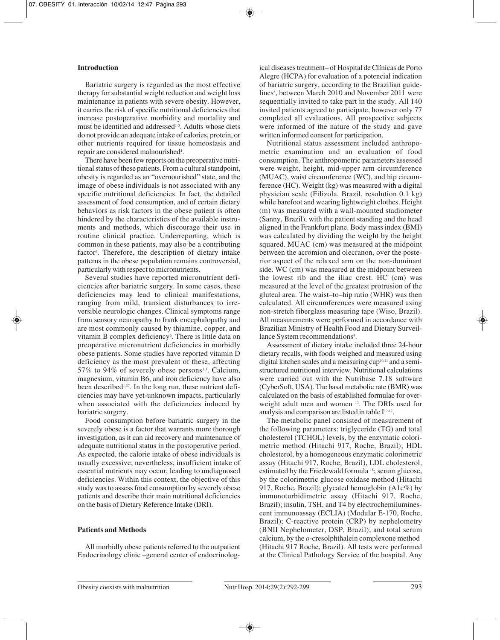# **Introduction**

Bariatric surgery is regarded as the most effective therapy for substantial weight reduction and weight loss maintenance in patients with severe obesity. However, it carries the risk of specific nutritional deficiencies that increase postoperative morbidity and mortality and must be identified and addressed<sup>1-3</sup>. Adults whose diets do not provide an adequate intake of calories, protein, or other nutrients required for tissue homeostasis and repair are considered malnourished<sup>4</sup>.

There have been few reports on the preoperative nutritional status of these patients. From a cultural standpoint, obesity is regarded as an "overnourished" state, and the image of obese individuals is not associated with any specific nutritional deficiencies. In fact, the detailed assessment of food consumption, and of certain dietary behaviors as risk factors in the obese patient is often hindered by the characteristics of the available instruments and methods, which discourage their use in routine clinical practice. Underreporting, which is common in these patients, may also be a contributing factor<sup>5</sup>. Therefore, the description of dietary intake patterns in the obese population remains controversial, particularly with respect to micronutrients.

Several studies have reported micronutrient deficiencies after bariatric surgery. In some cases, these deficiencies may lead to clinical manifestations, ranging from mild, transient disturbances to irreversible neurologic changes. Clinical symptoms range from sensory neuropathy to frank encephalopathy and are most commonly caused by thiamine, copper, and vitamin B complex deficiency<sup>6</sup>. There is little data on preoperative micronutrient deficiencies in morbidly obese patients. Some studies have reported vitamin D deficiency as the most prevalent of these, affecting 57% to 94% of severely obese persons $1,3$ . Calcium, magnesium, vitamin B6, and iron deficiency have also been described1,37. In the long run, these nutrient deficiencies may have yet-unknown impacts, particularly when associated with the deficiencies induced by bariatric surgery.

Food consumption before bariatric surgery in the severely obese is a factor that warrants more thorough investigation, as it can aid recovery and maintenance of adequate nutritional status in the postoperative period. As expected, the calorie intake of obese individuals is usually excessive; nevertheless, insufficient intake of essential nutrients may occur, leading to undiagnosed deficiencies. Within this context, the objective of this study was to assess food consumption by severely obese patients and describe their main nutritional deficiencies on the basis of Dietary Reference Intake (DRI).

# **Patients and Methods**

All morbidly obese patients referred to the outpatient Endocrinology clinic –general center of endocrinological diseases treatment– of Hospital de Clínicas de Porto Alegre (HCPA) for evaluation of a potencial indication of bariatric surgery, according to the Brazilian guidelines<sup>8</sup>, between March 2010 and November 2011 were sequentially invited to take part in the study. All 140 invited patients agreed to participate, however only 77 completed all evaluations. All prospective subjects were informed of the nature of the study and gave written informed consent for participation.

Nutritional status assessment included anthropometric examination and an evaluation of food consumption. The anthropometric parameters assessed were weight, height, mid-upper arm circumference (MUAC), waist circumference (WC), and hip circumference (HC). Weight (kg) was measured with a digital physician scale (Filizola, Brazil, resolution 0.1 kg) while barefoot and wearing lightweight clothes. Height (m) was measured with a wall-mounted stadiometer (Sanny, Brazil), with the patient standing and the head aligned in the Frankfurt plane. Body mass index (BMI) was calculated by dividing the weight by the height squared. MUAC (cm) was measured at the midpoint between the acromion and olecranon, over the posterior aspect of the relaxed arm on the non-dominant side. WC (cm) was measured at the midpoint between the lowest rib and the iliac crest. HC (cm) was measured at the level of the greatest protrusion of the gluteal area. The waist–to–hip ratio (WHR) was then calculated. All circumferences were measured using non-stretch fiberglass measuring tape (Wiso, Brazil). All measurements were performed in accordance with Brazilian Ministry of Health Food and Dietary Surveillance System recommendations<sup>9</sup>.

Assessment of dietary intake included three 24-hour dietary recalls, with foods weighed and measured using digital kitchen scales and a measuring  $cup^{10,11}$  and a semistructured nutritional interview. Nutritional calculations were carried out with the Nutribase 7.18 software (CyberSoft, USA). The basal metabolic rate (BMR) was calculated on the basis of established formulae for overweight adult men and women 12. The DRIs used for analysis and comparison are listed in table I<sup>12-17</sup>.

The metabolic panel consisted of measurement of the following parameters: triglyceride (TG) and total cholesterol (TCHOL) levels, by the enzymatic colorimetric method (Hitachi 917, Roche, Brazil); HDL cholesterol, by a homogeneous enzymatic colorimetric assay (Hitachi 917, Roche, Brazil), LDL cholesterol, estimated by the Friedewald formula 18; serum glucose, by the colorimetric glucose oxidase method (Hitachi 917, Roche, Brazil); glycated hemoglobin (A1c%) by immunoturbidimetric assay (Hitachi 917, Roche, Brazil); insulin, TSH, and T4 by electrochemiluminescent immunoassay (ECLIA) (Modular E-170, Roche, Brazil); C-reactive protein (CRP) by nephelometry (BNII Nephelometer, DSP, Brazil); and total serum calcium, by the *o*-cresolphthalein complexone method (Hitachi 917 Roche, Brazil). All tests were performed at the Clinical Pathology Service of the hospital. Any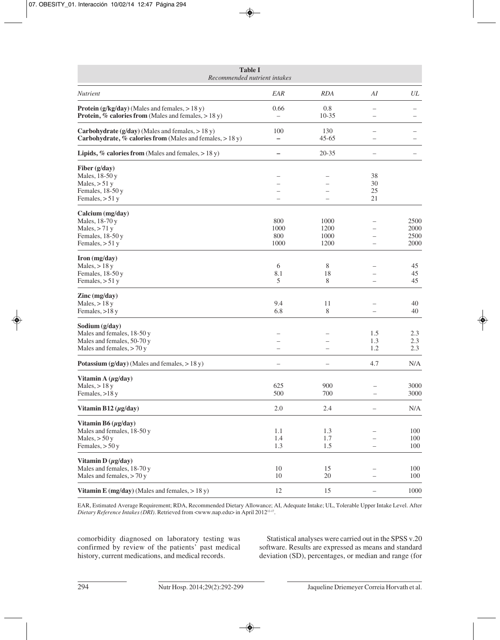| <b>Table I</b><br>Recommended nutrient intakes                                                                              |                                 |                              |                          |                              |
|-----------------------------------------------------------------------------------------------------------------------------|---------------------------------|------------------------------|--------------------------|------------------------------|
| <b>Nutrient</b>                                                                                                             | EAR                             | <b>RDA</b>                   | AI                       | UL                           |
| <b>Protein</b> $(g/kg/day)$ (Males and females, $> 18 y$ )<br><b>Protein, % calories from</b> (Males and females, $> 18$ y) | 0.66                            | 0.8<br>$10-35$               |                          |                              |
| <b>Carbohydrate (g/day)</b> (Males and females, $> 18$ y)<br>Carbohydrate, % calories from (Males and females, $> 18$ y)    | 100<br>$\overline{\phantom{0}}$ | 130<br>$45 - 65$             |                          |                              |
| <b>Lipids, % calories from</b> (Males and females, $> 18$ y)                                                                |                                 | $20 - 35$                    | $\overline{\phantom{0}}$ |                              |
| Fiber (g/day)<br>Males, 18-50 y<br>Males, $> 51$ y<br>Females, 18-50 y<br>Females, $> 51$ y                                 |                                 |                              | 38<br>30<br>25<br>21     |                              |
| Calcium (mg/day)<br>Males, 18-70 y<br>Males, $> 71$ y<br>Females, 18-50 y<br>Females, $> 51$ y                              | 800<br>1000<br>800<br>1000      | 1000<br>1200<br>1000<br>1200 |                          | 2500<br>2000<br>2500<br>2000 |
| $\Gamma$ ron (mg/day)<br>Males, $> 18y$<br>Females, 18-50 y<br>Females, $> 51$ y                                            | 6<br>8.1<br>5                   | 8<br>18<br>8                 | $\equiv$                 | 45<br>45<br>45               |
| $\text{Zinc} \left( \text{mg/day} \right)$<br>Males, $> 18y$<br>Females, >18 y                                              | 9.4<br>6.8                      | 11<br>8                      |                          | 40<br>40                     |
| Sodium (g/day)<br>Males and females, 18-50 y<br>Males and females, 50-70 y<br>Males and females, $> 70y$                    | $\overline{\phantom{0}}$        |                              | 1.5<br>1.3<br>1.2        | 2.3<br>2.3<br>2.3            |
| Potassium $(g/day)$ (Males and females, $> 18$ y)                                                                           |                                 |                              | 4.7                      | N/A                          |
| Vitamin A $(\mu g / day)$<br>Males, $> 18$ y<br>Females, >18 y                                                              | 625<br>500                      | 900<br>700                   |                          | 3000<br>3000                 |
| Vitamin B12 $(\mu$ g/day)                                                                                                   | $2.0\,$                         | 2.4                          |                          | N/A                          |
| Vitamin B6 $(\mu g/day)$<br>Males and females, 18-50 y<br>Males, $> 50y$<br>Females, $> 50y$                                | 1.1<br>1.4<br>1.3               | 1.3<br>1.7<br>1.5            | $\overline{\phantom{0}}$ | 100<br>100<br>100            |
| Vitamin D $(\mu g / day)$<br>Males and females, 18-70 y<br>Males and females, > 70 y                                        | 10<br>10                        | 15<br>20                     |                          | 100<br>100                   |
| Vitamin E (mg/day) (Males and females, $> 18$ y)                                                                            | 12                              | 15                           | $\qquad \qquad -$        | 1000                         |

EAR, Estimated Average Requirement; RDA, Recommended Dietary Allowance; AI, Adequate Intake; UL, Tolerable Upper Intake Level. After *Dietary Reference Intakes (DRI)*. Retrieved from <www.nap.edu> in April 201212-17.

comorbidity diagnosed on laboratory testing was confirmed by review of the patients' past medical history, current medications, and medical records.

Statistical analyses were carried out in the SPSS v.20 software. Results are expressed as means and standard deviation (SD), percentages, or median and range (for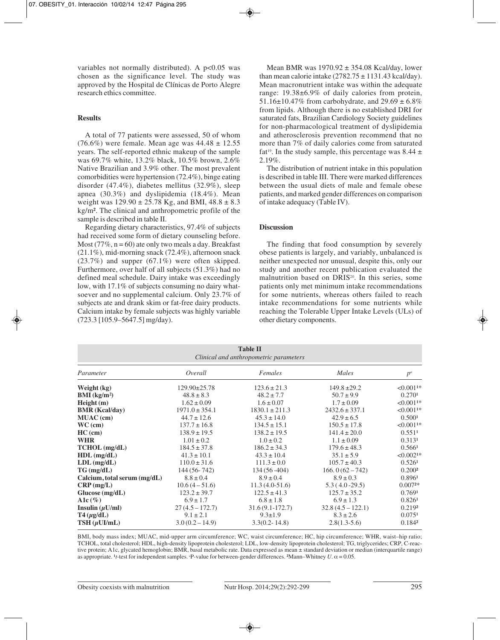variables not normally distributed). A  $p<0.05$  was chosen as the significance level. The study was approved by the Hospital de Clínicas de Porto Alegre research ethics committee.

## **Results**

A total of 77 patients were assessed, 50 of whom (76.6%) were female. Mean age was  $44.48 \pm 12.55$ years. The self-reported ethnic makeup of the sample was 69.7% white, 13.2% black, 10.5% brown, 2.6% Native Brazilian and 3.9% other. The most prevalent comorbidities were hypertension (72.4%), binge eating disorder (47.4%), diabetes mellitus (32.9%), sleep apnea (30.3%) and dyslipidemia (18.4%). Mean weight was  $129.90 \pm 25.78$  Kg, and BMI,  $48.8 \pm 8.3$ kg/m². The clinical and anthropometric profile of the sample is described in table II.

Regarding dietary characteristics, 97.4% of subjects had received some form of dietary counseling before. Most (77%,  $n = 60$ ) ate only two meals a day. Breakfast (21.1%), mid-morning snack (72.4%), afternoon snack (23.7%) and supper (67.1%) were often skipped. Furthermore, over half of all subjects (51.3%) had no defined meal schedule. Dairy intake was exceedingly low, with 17.1% of subjects consuming no dairy whatsoever and no supplemental calcium. Only 23.7% of subjects ate and drank skim or fat-free dairy products. Calcium intake by female subjects was highly variable (723.3 [105.9–5647.5] mg/day).

Mean BMR was  $1970.92 \pm 354.08$  Kcal/day, lower than mean calorie intake  $(2782.75 \pm 1131.43 \text{ kcal/day})$ . Mean macronutrient intake was within the adequate range: 19.38±6.9% of daily calories from protein, 51.16 $\pm$ 10.47% from carbohydrate, and 29.69  $\pm$  6.8% from lipids. Although there is no established DRI for saturated fats, Brazilian Cardiology Society guidelines for non-pharmacological treatment of dyslipidemia and atherosclerosis prevention recommend that no more than 7% of daily calories come from saturated fat<sup>19</sup>. In the study sample, this percentage was 8.44  $\pm$  $2.19\%$ .

The distribution of nutrient intake in this population is described in table III. There were marked differences between the usual diets of male and female obese patients, and marked gender differences on comparison of intake adequacy (Table IV).

## **Discussion**

The finding that food consumption by severely obese patients is largely, and variably, unbalanced is neither unexpected nor unusual, despite this, only our study and another recent publication evaluated the malnutrition based on DRIS<sup>20</sup>. In this series, some patients only met minimum intake recommendations for some nutrients, whereas others failed to reach intake recommendations for some nutrients while reaching the Tolerable Upper Intake Levels (ULs) of other dietary components.

| <b>Table II</b><br>Clinical and anthropometric parameters |                    |                    |                     |                    |
|-----------------------------------------------------------|--------------------|--------------------|---------------------|--------------------|
| Parameter                                                 | Overall            | Females            | Males               | $p^a$              |
| Weight (kg)                                               | $129.90 \pm 25.78$ | $123.6 \pm 21.3$   | $149.8 \pm 29.2$    | $< 0.0011*$        |
| BMI (kg/m <sup>2</sup> )                                  | $48.8 \pm 8.3$     | $48.2 \pm 7.7$     | $50.7 \pm 9.9$      | 0.2701             |
| Height(m)                                                 | $1.62 \pm 0.09$    | $1.6 \pm 0.07$     | $1.7 \pm 0.09$      | $< 0.0011*$        |
| <b>BMR</b> (Kcal/day)                                     | $1971.0 \pm 354.1$ | $1830.1 \pm 211.3$ | $2432.6 \pm 337.1$  | $< 0.0011*$        |
| <b>MUAC</b> (cm)                                          | $44.7 \pm 12.6$    | $45.3 \pm 14.0$    | $42.9 \pm 6.5$      | 0.5001             |
| $WC$ (cm)                                                 | $137.7 \pm 16.8$   | $134.5 \pm 15.1$   | $150.5 \pm 17.8$    | $< 0.0011*$        |
| $HC$ (cm)                                                 | $138.9 \pm 19.5$   | $138.2 \pm 19.5$   | $141.4 \pm 20.0$    | 0.5511             |
| <b>WHR</b>                                                | $1.01 \pm 0.2$     | $1.0 \pm 0.2$      | $1.1 \pm 0.09$      | 0.3131             |
| TCHOL (mg/dL)                                             | $184.5 \pm 37.8$   | $186.2 \pm 34.3$   | $179.6 \pm 48.3$    | 0.5661             |
| $HDL$ (mg/dL)                                             | $41.3 \pm 10.1$    | $43.3 \pm 10.4$    | $35.1 \pm 5.9$      | $<0.0021*$         |
| $LDL$ (mg/dL)                                             | $110.0 \pm 31.6$   | $111.3 \pm 0.0$    | $105.7 \pm 40.3$    | 0.526 <sup>1</sup> |
| $TG$ (mg/dL)                                              | 144 (56-742)       | $134(56-404)$      | $166.0(62 - 742)$   | 0.200 <sup>2</sup> |
| Calcium, total serum $(mg/dL)$                            | $8.8 \pm 0.4$      | $8.9 \pm 0.4$      | $8.9 \pm 0.3$       | 0.8961             |
| $CRP$ (mg/L)                                              | $10.6(4-51.6)$     | $11.3(4.0-51.6)$   | $5.3(4.0-29.5)$     | $0.0072*$          |
| Glucose (mg/dL)                                           | $123.2 \pm 39.7$   | $122.5 \pm 41.3$   | $125.7 \pm 35.2$    | 0.7691             |
| A1c $(\%)$                                                | $6.9 \pm 1.7$      | $6.8 \pm 1.8$      | $6.9 \pm 1.3$       | 0.8261             |
| Insulin $(\mu U/ml)$                                      | $27(4.5 - 172.7)$  | $31.6(9.1-172.7)$  | $32.8(4.5 - 122.1)$ | 0.2192             |
| $T4(\mu g/dL)$                                            | $9.1 \pm 2.1$      | $9.3 \pm 1.9$      | $8.3 \pm 2.6$       | 0.0751             |
| $TSH(\mu U I/mL)$                                         | $3.0(0.2 - 14.9)$  | $3.3(0.2 - 14.8)$  | $2.8(1.3-5.6)$      | 0.1842             |

BMI, body mass index; MUAC, mid-upper arm circumference; WC, waist circumference; HC, hip circumference; WHR, waist–hip ratio; TCHOL, total cholesterol; HDL, high-density lipoprotein cholesterol; LDL, low-density lipoprotein cholesterol; TG, triglycerides; CRP, C-reactive protein; A1c, glycated hemoglobin; BMR, basal metabolic rate. Data expressed as mean ± standard deviation or median (interquartile range) as appropriate. <sup>1</sup>*t*-test for independent samples. <sup>*P*</sup>-value for between-gender differences. <sup>2</sup>Mann–Whitney  $U$ .  $\alpha$  = 0.05.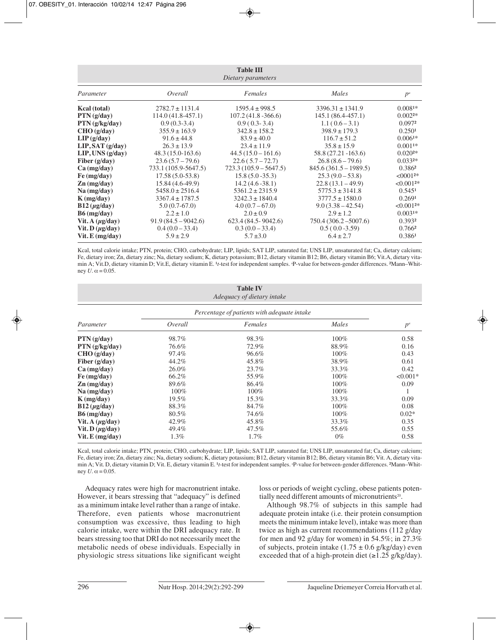| <b>Table III</b><br>Dietary parameters |                      |                         |                         |                    |
|----------------------------------------|----------------------|-------------------------|-------------------------|--------------------|
| Parameter                              | Overall              | Females                 | Males                   | $p^a$              |
| Kcal (total)                           | $2782.7 \pm 1131.4$  | $1595.4 \pm 998.5$      | $3396.31 \pm 1341.9$    | $0.0081*$          |
| PTN(g/day)                             | $114.0(41.8-457.1)$  | $107.2(41.8 - 366.6)$   | $145.1(86.4-457.1)$     | $0.002^{2*}$       |
| PTN(g/kg/day)                          | $0.9(0.3-3.4)$       | $0.9(0.3-3.4)$          | $1.1(0.6-3.1)$          | 0.0972             |
| CHO (g/day)                            | $355.9 \pm 163.9$    | $342.8 \pm 158.2$       | $398.9 \pm 179.3$       | 0.250 <sup>1</sup> |
| LIP(g/day)                             | $91.6 \pm 44.8$      | $83.9 \pm 40.0$         | $116.7 \pm 51.2$        | $0.0061*$          |
| LIP, SAT(g/day)                        | $26.3 \pm 13.9$      | $23.4 \pm 11.9$         | $35.8 \pm 15.9$         | $0.0011*$          |
| $LIP$ , UNS ( $g/day$ )                | $48.3(15.0-163.6)$   | $44.5(15.0 - 161.6)$    | 58.8 (27.21 - 163.6)    | $0.020^{2*}$       |
| Fiber $(g/day)$                        | $23.6(5.7 - 79.6)$   | $22.6(5.7 - 72.7)$      | $26.8(8.6 - 79.6)$      | $0.033^{2*}$       |
| $Ca$ (mg/day)                          | 733.1 (105.9-5647.5) | $723.3(105.9 - 5647.5)$ | $845.6(361.5 - 1989.5)$ | 0.3862             |
| Fe (mg/day)                            | $17.58(5.0-53.8)$    | $15.8(5.0 - 35.3)$      | $25.3(9.0-53.8)$        | $< 00012*$         |
| $\mathbf{Zn}$ (mg/day)                 | $15.84(4.6-49.9)$    | $14.2(4.6 - 38.1)$      | $22.8(13.1-49.9)$       | $< 0.0012*$        |
| $Na$ (mg/day)                          | $5458.0 \pm 2516.4$  | $5361.2 \pm 2315.9$     | $5775.3 \pm 3141.8$     | 0.5451             |
| $K$ (mg/day)                           | $3367.4 \pm 1787.5$  | $3242.3 \pm 1840.4$     | $3777.5 \pm 1580.0$     | 0.2691             |
| $B12 \, (\mu g/day)$                   | $5.0(0.7-67.0)$      | $4.0(0.7-67.0)$         | $9.0(3.38 - 42.54)$     | $< 0.0012*$        |
| $B6$ (mg/day)                          | $2.2 \pm 1.0$        | $2.0 \pm 0.9$           | $2.9 \pm 1.2$           | $0.0031*$          |
| Vit. A $(\mu g / day)$                 | $91.9(84.5-9042.6)$  | $623.4(84.5-9042.6)$    | $750.4(306.2 - 5007.6)$ | 0.3932             |
| Vit. D $(\mu g / day)$                 | $0.4(0.0-33.4)$      | $0.3(0.0-33.4)$         | $0.5(0.0 - 3.59)$       | 0.7662             |
| $V$ it. $E$ (mg/day)                   | $5.9 \pm 2.9$        | $5.7 \pm 3.0$           | $6.4 \pm 2.7$           | 0.3861             |

Kcal, total calorie intake; PTN, protein; CHO, carbohydrate; LIP, lipids; SAT LIP, saturated fat; UNS LIP, unsaturated fat; Ca, dietary calcium; Fe, dietary iron; Zn, dietary zinc; Na, dietary sodium; K, dietary potassium; B12, dietary vitamin B12; B6, dietary vitamin B6; Vit.A, dietary vitamin A; Vit.D, dietary vitamin D; Vit.E, dietary vitamin E. <sup>1</sup>t-test for independent samples. <sup>a</sup>P-value for between-gender differences. <sup>2</sup>Mann–Whitney *U*.  $\alpha$  = 0.05.

| <b>Table IV</b><br>Adequacy of dietary intake |                                             |         |         |            |
|-----------------------------------------------|---------------------------------------------|---------|---------|------------|
|                                               | Percentage of patients with adequate intake |         |         |            |
| Parameter                                     | Overall                                     | Females | Males   | $p^a$      |
| PTN(g/day)                                    | 98.7%                                       | 98.3%   | 100%    | 0.58       |
| PTN(g/kg/day)                                 | 76.6%                                       | 72.9%   | 88.9%   | 0.16       |
| CHO (g/day)                                   | 97.4%                                       | 96.6%   | $100\%$ | 0.43       |
| Fiber $(g/day)$                               | 44.2%                                       | 45.8%   | 38.9%   | 0.61       |
| $Ca$ (mg/day)                                 | 26.0%                                       | 23.7%   | 33.3%   | 0.42       |
| Fe (mg/day)                                   | 66.2%                                       | 55.9%   | 100%    | $< 0.001*$ |
| $\mathbf{Zn}$ (mg/day)                        | 89.6%                                       | 86.4%   | $100\%$ | 0.09       |
| $Na$ (mg/day)                                 | 100%                                        | 100%    | 100%    |            |
| $K$ (mg/day)                                  | 19.5%                                       | 15.3%   | 33.3%   | 0.09       |
| $B12 \, (\mu g/day)$                          | 88.3%                                       | 84.7%   | 100%    | 0.08       |
| $B6$ (mg/day)                                 | 80.5%                                       | 74.6%   | 100%    | $0.02*$    |
| Vit. A $(\mu$ g/day)                          | 42.9%                                       | 45.8%   | 33.3%   | 0.35       |
| Vit. D $(\mu$ g/day)                          | 49.4%                                       | 47.5%   | 55.6%   | 0.55       |
| Vit. $E$ (mg/day)                             | $1.3\%$                                     | $1.7\%$ | $0\%$   | 0.58       |

Kcal, total calorie intake; PTN, protein; CHO, carbohydrate; LIP, lipids; SAT LIP, saturated fat; UNS LIP, unsaturated fat; Ca, dietary calcium; Fe, dietary iron; Zn, dietary zinc; Na, dietary sodium; K, dietary potassium; B12, dietary vitamin B12; B6, dietary vitamin B6; Vit. A, dietary vitamin A; Vit. D, dietary vitamin D; Vit. E, dietary vitamin E. <sup>1</sup>t-test for independent samples. <sup>a</sup>P-value for between-gender differences. <sup>2</sup>Mann–Whitney  $U \cdot \alpha = 0.05$ .

Adequacy rates were high for macronutrient intake. However, it bears stressing that "adequacy" is defined as a minimum intake level rather than a range of intake. Therefore, even patients whose macronutrient consumption was excessive, thus leading to high calorie intake, were within the DRI adequacy rate. It bears stressing too that DRI do not necessarily meet the metabolic needs of obese individuals. Especially in physiologic stress situations like significant weight loss or periods of weight cycling, obese patients potentially need different amounts of micronutrients<sup>20</sup>.

Although 98.7% of subjects in this sample had adequate protein intake (i.e. their protein consumption meets the minimum intake level), intake was more than twice as high as current recommendations (112 g/day for men and 92 g/day for women) in 54.5%; in 27.3% of subjects, protein intake  $(1.75 \pm 0.6 \text{ g/kg/day})$  even exceeded that of a high-protein diet  $(\geq 1.25 \text{ g/kg/day})$ .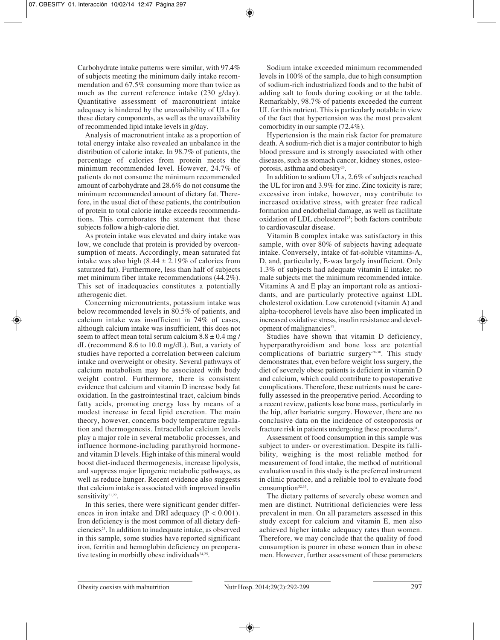Carbohydrate intake patterns were similar, with 97.4% of subjects meeting the minimum daily intake recommendation and 67.5% consuming more than twice as much as the current reference intake (230 g/day). Quantitative assessment of macronutrient intake adequacy is hindered by the unavailability of ULs for these dietary components, as well as the unavailability of recommended lipid intake levels in g/day.

Analysis of macronutrient intake as a proportion of total energy intake also revealed an unbalance in the distribution of calorie intake. In 98.7% of patients, the percentage of calories from protein meets the minimum recommended level. However, 24.7% of patients do not consume the minimum recommended amount of carbohydrate and 28.6% do not consume the minimum recommended amount of dietary fat. Therefore, in the usual diet of these patients, the contribution of protein to total calorie intake exceeds recommendations. This corroborates the statement that these subjects follow a high-calorie diet.

As protein intake was elevated and dairy intake was low, we conclude that protein is provided by overconsumption of meats. Accordingly, mean saturated fat intake was also high  $(8.44 \pm 2.19\%$  of calories from saturated fat). Furthermore, less than half of subjects met minimum fiber intake recommendations (44.2%). This set of inadequacies constitutes a potentially atherogenic diet.

Concerning micronutrients, potassium intake was below recommended levels in 80.5% of patients, and calcium intake was insufficient in 74% of cases, although calcium intake was insufficient, this does not seem to affect mean total serum calcium  $8.8 \pm 0.4$  mg / dL (recommend 8.6 to 10.0 mg/dL). But, a variety of studies have reported a correlation between calcium intake and overweight or obesity. Several pathways of calcium metabolism may be associated with body weight control. Furthermore, there is consistent evidence that calcium and vitamin D increase body fat oxidation. In the gastrointestinal tract, calcium binds fatty acids, promoting energy loss by means of a modest increase in fecal lipid excretion. The main theory, however, concerns body temperature regulation and thermogenesis. Intracellular calcium levels play a major role in several metabolic processes, and influence hormone-including parathyroid hormoneand vitamin D levels. High intake of this mineral would boost diet-induced thermogenesis, increase lipolysis, and suppress major lipogenic metabolic pathways, as well as reduce hunger. Recent evidence also suggests that calcium intake is associated with improved insulin sensitivity<sup>21,22</sup>.

In this series, there were significant gender differences in iron intake and DRI adequacy  $(P < 0.001)$ . Iron deficiency is the most common of all dietary deficiencies<sup>23</sup>. In addition to inadequate intake, as observed in this sample, some studies have reported significant iron, ferritin and hemoglobin deficiency on preoperative testing in morbidly obese individuals<sup>24,25</sup>.

Sodium intake exceeded minimum recommended levels in 100% of the sample, due to high consumption of sodium-rich industrialized foods and to the habit of adding salt to foods during cooking or at the table. Remarkably, 98.7% of patients exceeded the current UL for this nutrient. This is particularly notable in view of the fact that hypertension was the most prevalent comorbidity in our sample (72.4%).

Hypertension is the main risk factor for premature death. A sodium-rich diet is a major contributor to high blood pressure and is strongly associated with other diseases, such as stomach cancer, kidney stones, osteoporosis, asthma and obesity<sup>26</sup>.

In addition to sodium ULs, 2.6% of subjects reached the UL for iron and 3.9% for zinc. Zinc toxicity is rare; excessive iron intake, however, may contribute to increased oxidative stress, with greater free radical formation and endothelial damage, as well as facilitate oxidation of LDL cholesterol<sup>23</sup>; both factors contribute to cardiovascular disease.

Vitamin B complex intake was satisfactory in this sample, with over 80% of subjects having adequate intake. Conversely, intake of fat-soluble vitamins-A, D, and, particularly, E-was largely insufficient. Only 1.3% of subjects had adequate vitamin E intake; no male subjects met the minimum recommended intake. Vitamins A and E play an important role as antioxidants, and are particularly protective against LDL cholesterol oxidation. Low carotenoid (vitamin A) and alpha-tocopherol levels have also been implicated in increased oxidative stress, insulin resistance and development of malignancies<sup>27</sup>.

Studies have shown that vitamin D deficiency, hyperparathyroidism and bone loss are potential complications of bariatric surgery<sup>28-30</sup>. This study demonstrates that, even before weight loss surgery, the diet of severely obese patients is deficient in vitamin D and calcium, which could contribute to postoperative complications. Therefore, these nutrients must be carefully assessed in the preoperative period. According to a recent review, patients lose bone mass, particularly in the hip, after bariatric surgery. However, there are no conclusive data on the incidence of osteoporosis or fracture risk in patients undergoing these procedures<sup>31</sup>.

Assessment of food consumption in this sample was subject to under- or overestimation. Despite its fallibility, weighing is the most reliable method for measurement of food intake, the method of nutritional evaluation used in this study is the preferred instrument in clinic practice, and a reliable tool to evaluate food consumption<sup>32,33</sup>.

The dietary patterns of severely obese women and men are distinct. Nutritional deficiencies were less prevalent in men. On all parameters assessed in this study except for calcium and vitamin E, men also achieved higher intake adequacy rates than women. Therefore, we may conclude that the quality of food consumption is poorer in obese women than in obese men. However, further assessment of these parameters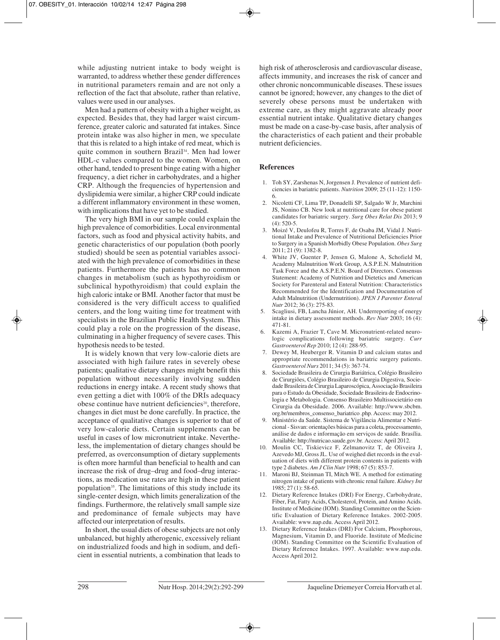while adjusting nutrient intake to body weight is warranted, to address whether these gender differences in nutritional parameters remain and are not only a reflection of the fact that absolute, rather than relative, values were used in our analyses.

Men had a pattern of obesity with a higher weight, as expected. Besides that, they had larger waist circumference, greater caloric and saturated fat intakes. Since protein intake was also higher in men, we speculate that this is related to a high intake of red meat, which is quite common in southern Brazil34. Men had lower HDL-c values compared to the women. Women, on other hand, tended to present binge eating with a higher frequency, a diet richer in carbohydrates, and a higher CRP. Although the frequencies of hypertension and dyslipidemia were similar, a higher CRP could indicate a different inflammatory environment in these women, with implications that have yet to be studied.

The very high BMI in our sample could explain the high prevalence of comorbidities. Local environmental factors, such as food and physical activity habits, and genetic characteristics of our population (both poorly studied) should be seen as potential variables associated with the high prevalence of comorbidities in these patients. Furthermore the patients has no common changes in metabolism (such as hypothyroidism or subclinical hypothyroidism) that could explain the high caloric intake or BMI. Another factor that must be considered is the very difficult access to qualified centers, and the long waiting time for treatment with specialists in the Brazilian Public Health System. This could play a role on the progression of the disease, culminating in a higher frequency of severe cases. This hypothesis needs to be tested.

It is widely known that very low-calorie diets are associated with high failure rates in severely obese patients; qualitative dietary changes might benefit this population without necessarily involving sudden reductions in energy intake. A recent study shows that even getting a diet with 100% of the DRIs adequacy obese continue have nutrient deficiencies<sup>20</sup>, therefore, changes in diet must be done carefully. In practice, the acceptance of qualitative changes is superior to that of very low-calorie diets. Certain supplements can be useful in cases of low micronutrient intake. Nevertheless, the implementation of dietary changes should be preferred, as overconsumption of dietary supplements is often more harmful than beneficial to health and can increase the risk of drug–drug and food–drug interactions, as medication use rates are high in these patient population35. The limitations of this study include its single-center design, which limits generalization of the findings. Furthermore, the relatively small sample size and predominance of female subjects may have affected our interpretation of results.

In short, the usual diets of obese subjects are not only unbalanced, but highly atherogenic, excessively reliant on industrialized foods and high in sodium, and deficient in essential nutrients, a combination that leads to

high risk of atherosclerosis and cardiovascular disease, affects immunity, and increases the risk of cancer and other chronic noncommunicable diseases. These issues cannot be ignored; however, any changes to the diet of severely obese persons must be undertaken with extreme care, as they might aggravate already poor essential nutrient intake. Qualitative dietary changes must be made on a case-by-case basis, after analysis of the characteristics of each patient and their probable nutrient deficiencies.

### **References**

- 1. Toh SY, Zarshenas N, Jorgensen J. Prevalence of nutrient deficiencies in bariatric patients. *Nutrition* 2009; 25 (11-12): 1150- 6.
- 2. Nicoletti CF, Lima TP, Donadelli SP, Salgado W Jr, Marchini JS, Nonino CB. New look at nutritional care for obese patient candidates for bariatric surgery. *Surg Obes Relat Dis* 2013; 9  $(4)$ : 520-5.
- 3. Moizé V, Deulofeu R, Torres F, de Osaba JM, Vidal J. Nutritional Intake and Prevalence of Nutritional Deficiencies Prior to Surgery in a Spanish Morbidly Obese Population. *Obes Surg* 2011; 21 (9): 1382-8.
- 4. White JV, Guenter P, Jensen G, Malone A, Schofield M, Academy Malnutrition Work Group, A.S.P.E.N. Malnutrition Task Force and the A.S.P.E.N. Board of Directors. Consensus Statement: Academy of Nutrition and Dietetics and American Society for Parenteral and Enteral Nutrition: Characteristics Recommended for the Identification and Documentation of Adult Malnutrition (Undernutrition). *JPEN J Parenter Enteral Nutr* 2012; 36 (3): 275-83.
- 5. Scagliusi, FB, Lancha Júnior, AH. Underreporting of energy intake in dietary assessment methods. *Rev Nutr* 2003; 16 (4): 471-81.
- 6. Kazemi A, Frazier T, Cave M. Micronutrient-related neurologic complications following bariatric surgery. *Curr Gastroenterol Rep* 2010; 12 (4): 288-95.
- 7. Dewey M, Heuberger R. Vitamin D and calcium status and appropriate recommendations in bariatric surgery patients. *Gastroenterol Nurs* 2011; 34 (5): 367-74.
- 8. Sociedade Brasileira de Cirurgia Bariátrica, Colégio Brasileiro de Cirurgiões, Colégio Brasileiro de Cirurgia Digestiva, Sociedade Brasileira de Cirurgia Laparoscópica, Associação Brasileira para o Estudo da Obesidade, Sociedade Brasileira de Endocrinologia e Metabologia. Consenso Brasileiro Multissocietário em Cirurgia da Obesidade. 2006. Available: http://www.sbcbm. org.br/membros\_consenso\_bariatrico .php. Access: may 2012.
- 9. Ministério da Saúde. Sistema de Vigilância Alimentar e Nutricional - Sisvan: orientações básicas para a coleta, processamento, análise de dados e informação em serviços de saúde. Brasília. Available: http://nutricao.saude.gov.br. Access: April 2012.
- 10. Moulin CC, Tiskievicz F, Zelmanovitz T, de Oliveira J, Azevedo MJ, Gross JL. Use of weighed diet records in the evaluation of diets with different protein contents in patients with type 2 diabetes. *Am J Clin Nutr* 1998; 67 (5): 853-7.
- 11. Maroni BJ, Steinman TI, Mitch WE. A method for estimating nitrogen intake of patients with chronic renal failure. *Kidney Int* 1985; 27 (1): 58-65.
- 12. Dietary Reference Intakes (DRI) For Energy, Carbohydrate, Fiber, Fat, Fatty Acids, Cholesterol, Protein, and Amino Acids. Institute of Medicine (IOM). Standing Committee on the Scientific Evaluation of Dietary Reference Intakes. 2002-2005. Available: www.nap.edu. Access April 2012.
- 13. Dietary Reference Intakes (DRI) For Calcium, Phosphorous, Magnesium, Vitamin D, and Fluoride. Institute of Medicine (IOM). Standing Committee on the Scientific Evaluation of Dietary Reference Intakes. 1997. Available: www.nap.edu. Access April 2012.